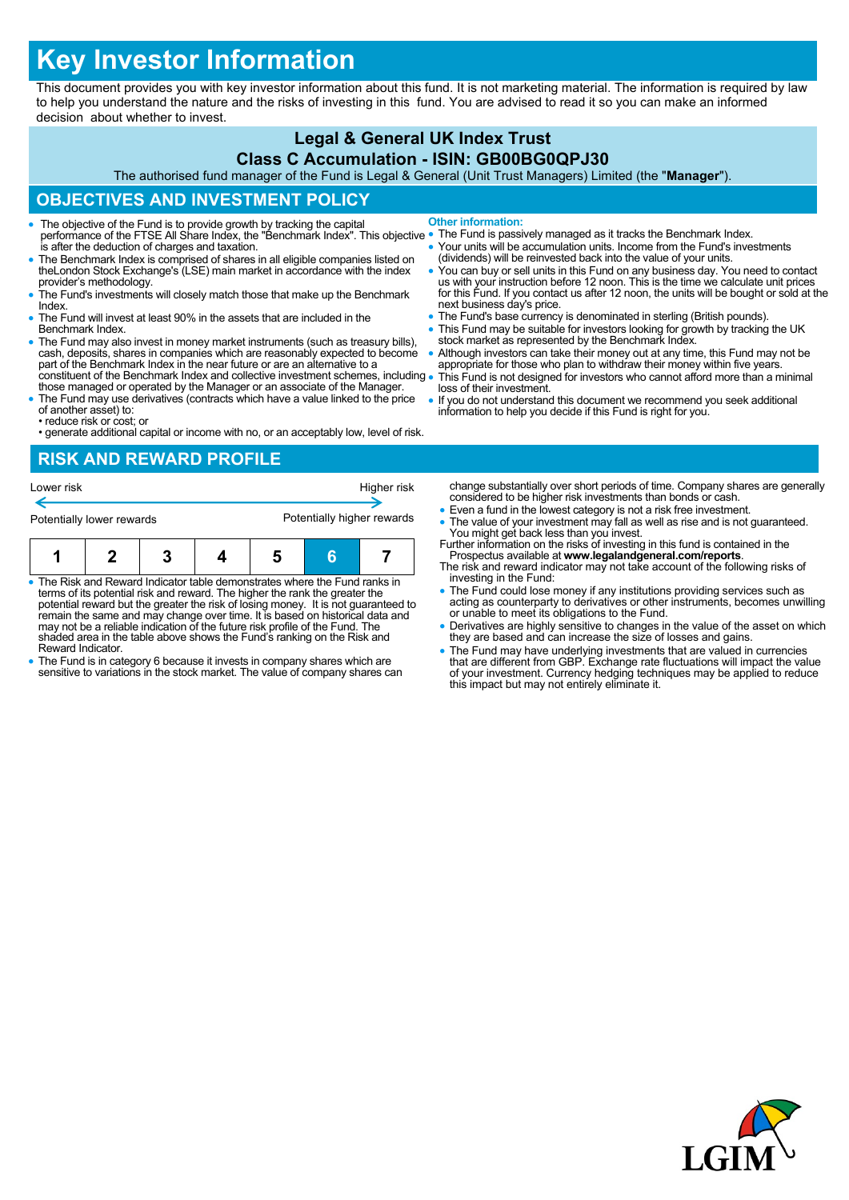# **Key Investor Information**

This document provides you with key investor information about this fund. It is not marketing material. The information is required by law to help you understand the nature and the risks of investing in this fund. You are advised to read it so you can make an informed decision about whether to invest.

# **Legal & General UK Index Trust**

#### **Class C Accumulation - ISIN: GB00BG0QPJ30**

The authorised fund manager of the Fund is Legal & General (Unit Trust Managers) Limited (the "**Manager**").

# **OBJECTIVES AND INVESTMENT POLICY**

- The objective of the Fund is to provide growth by tracking the capital performance of the FTSE All Share Index, the "Benchmark Index". This objective is after the deduction of charges and taxation. **Other information:**
- The Benchmark Index is comprised of shares in all eligible companies listed on theLondon Stock Exchange's (LSE) main market in accordance with the index provider's methodology.
- The Fund's investments will closely match those that make up the Benchmark Index.
- The Fund will invest at least 90% in the assets that are included in the Benchmark Index.
- The Fund may also invest in money market instruments (such as treasury bills), cash, deposits, shares in companies which are reasonably expected to become part of the Benchmark Index in the near future or are an alternative to a constituent of the Benchmark Index and collective investment schemes, including
- those managed or operated by the Manager or an associate of the Manager. The Fund may use derivatives (contracts which have a value linked to the price
- of another asset) to: • reduce risk or cost; or
- generate additional capital or income with no, or an acceptably low, level of risk.

#### **RISK AND REWARD PROFILE**

| Lower risk                |  |  |  |                            |  | Higher risk |
|---------------------------|--|--|--|----------------------------|--|-------------|
| Potentially lower rewards |  |  |  | Potentially higher rewards |  |             |
|                           |  |  |  | 5                          |  |             |

- The Risk and Reward Indicator table demonstrates where the Fund ranks in terms of its potential risk and reward. The higher the rank the greater the potential reward but the greater the risk of losing money. It is not guaranteed to remain the same and may change over time. It is based on historical data and may not be a reliable indication of the future risk profile of the Fund. The shaded area in the table above shows the Fund's ranking on the Risk and Reward Indicator.
- The Fund is in category 6 because it invests in company shares which are sensitive to variations in the stock market. The value of company shares can
- The Fund is passively managed as it tracks the Benchmark Index.
- Your units will be accumulation units. Income from the Fund's investments (dividends) will be reinvested back into the value of your units.
- You can buy or sell units in this Fund on any business day. You need to contact<br>us with your instruction before 12 noon. This is the time we calculate unit prices<br>for this Fund. If you contact us after 12 noon, the units next business day's price.
- The Fund's base currency is denominated in sterling (British pounds).
- This Fund may be suitable for investors looking for growth by tracking the UK stock market as represented by the Benchmark Index.
- Although investors can take their money out at any time, this Fund may not be appropriate for those who plan to withdraw their money within five years. This Fund is not designed for investors who cannot afford more than a minimal
- loss of their investment. If you do not understand this document we recommend you seek additional
- information to help you decide if this Fund is right for you.

change substantially over short periods of time. Company shares are generally considered to be higher risk investments than bonds or cash.

- Even a fund in the lowest category is not a risk free investment.
- The value of your investment may fall as well as rise and is not guaranteed. You might get back less than you invest. Further information on the risks of investing in this fund is contained in the
- Prospectus available at **www.legalandgeneral.com/reports**. The risk and reward indicator may not take account of the following risks of
- investing in the Fund: The Fund could lose money if any institutions providing services such as acting as counterparty to derivatives or other instruments, becomes unwilling or unable to meet its obligations to the Fund.
- Derivatives are highly sensitive to changes in the value of the asset on which they are based and can increase the size of losses and gains.
- The Fund may have underlying investments that are valued in currencies<br>that are different from GBP. Exchange rate fluctuations will impact the value<br>of your investment. Currency hedging techniques may be applied to reduc